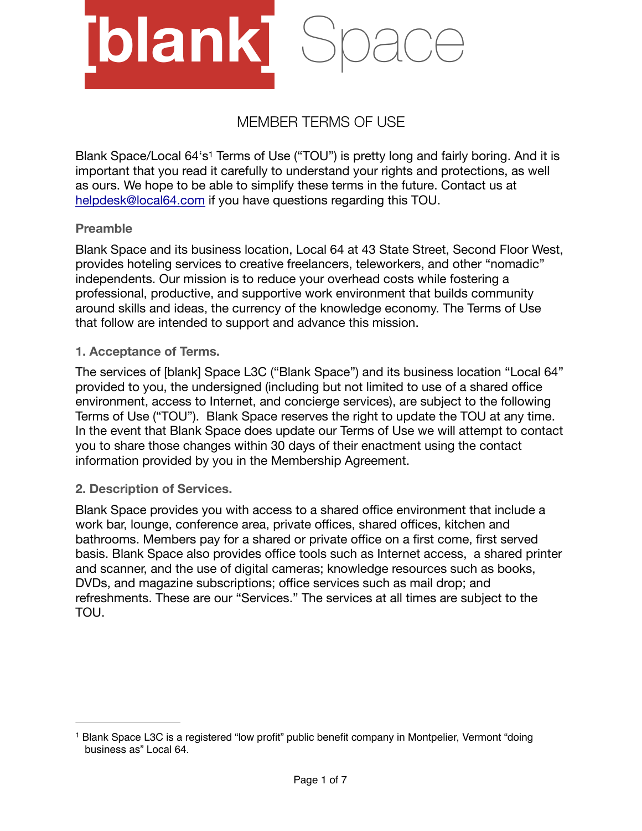

# <span id="page-0-1"></span>MEMBER TERMS OF USE

Blank Space/Local 64's<sup>[1](#page-0-0)</sup> Terms of Use ("TOU") is pretty long and fairly boring. And it is important that you read it carefully to understand your rights and protections, as well as ours. We hope to be able to simplify these terms in the future. Contact us at [helpdesk@local64.com](mailto:helpdesk@local64.com) if you have questions regarding this TOU.

## **Preamble**

Blank Space and its business location, Local 64 at 43 State Street, Second Floor West, provides hoteling services to creative freelancers, teleworkers, and other "nomadic" independents. Our mission is to reduce your overhead costs while fostering a professional, productive, and supportive work environment that builds community around skills and ideas, the currency of the knowledge economy. The Terms of Use that follow are intended to support and advance this mission.

#### **1. Acceptance of Terms.**

The services of [blank] Space L3C ("Blank Space") and its business location "Local 64" provided to you, the undersigned (including but not limited to use of a shared office environment, access to Internet, and concierge services), are subject to the following Terms of Use ("TOU"). Blank Space reserves the right to update the TOU at any time. In the event that Blank Space does update our Terms of Use we will attempt to contact you to share those changes within 30 days of their enactment using the contact information provided by you in the Membership Agreement.

## **2. Description of Services.**

Blank Space provides you with access to a shared office environment that include a work bar, lounge, conference area, private offices, shared offices, kitchen and bathrooms. Members pay for a shared or private office on a first come, first served basis. Blank Space also provides office tools such as Internet access, a shared printer and scanner, and the use of digital cameras; knowledge resources such as books, DVDs, and magazine subscriptions; office services such as mail drop; and refreshments. These are our "Services." The services at all times are subject to the TOU.

<span id="page-0-0"></span><sup>&</sup>lt;sup>1</sup>Blank Space L3C is a registered "low profit" public benefit company in Montpelier, Vermont "doing business as" Local 64.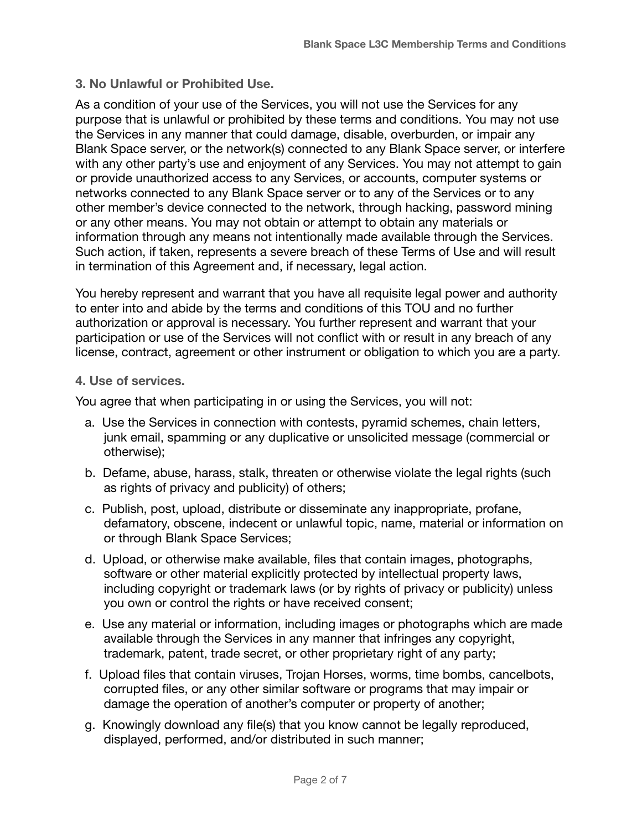#### **3. No Unlawful or Prohibited Use.**

As a condition of your use of the Services, you will not use the Services for any purpose that is unlawful or prohibited by these terms and conditions. You may not use the Services in any manner that could damage, disable, overburden, or impair any Blank Space server, or the network(s) connected to any Blank Space server, or interfere with any other party's use and enjoyment of any Services. You may not attempt to gain or provide unauthorized access to any Services, or accounts, computer systems or networks connected to any Blank Space server or to any of the Services or to any other member's device connected to the network, through hacking, password mining or any other means. You may not obtain or attempt to obtain any materials or information through any means not intentionally made available through the Services. Such action, if taken, represents a severe breach of these Terms of Use and will result in termination of this Agreement and, if necessary, legal action.

You hereby represent and warrant that you have all requisite legal power and authority to enter into and abide by the terms and conditions of this TOU and no further authorization or approval is necessary. You further represent and warrant that your participation or use of the Services will not conflict with or result in any breach of any license, contract, agreement or other instrument or obligation to which you are a party.

#### **4. Use of services.**

You agree that when participating in or using the Services, you will not:

- a. Use the Services in connection with contests, pyramid schemes, chain letters, junk email, spamming or any duplicative or unsolicited message (commercial or otherwise);
- b. Defame, abuse, harass, stalk, threaten or otherwise violate the legal rights (such as rights of privacy and publicity) of others;
- c. Publish, post, upload, distribute or disseminate any inappropriate, profane, defamatory, obscene, indecent or unlawful topic, name, material or information on or through Blank Space Services;
- d. Upload, or otherwise make available, files that contain images, photographs, software or other material explicitly protected by intellectual property laws, including copyright or trademark laws (or by rights of privacy or publicity) unless you own or control the rights or have received consent;
- e. Use any material or information, including images or photographs which are made available through the Services in any manner that infringes any copyright, trademark, patent, trade secret, or other proprietary right of any party;
- f. Upload files that contain viruses, Trojan Horses, worms, time bombs, cancelbots, corrupted files, or any other similar software or programs that may impair or damage the operation of another's computer or property of another;
- g. Knowingly download any file(s) that you know cannot be legally reproduced, displayed, performed, and/or distributed in such manner;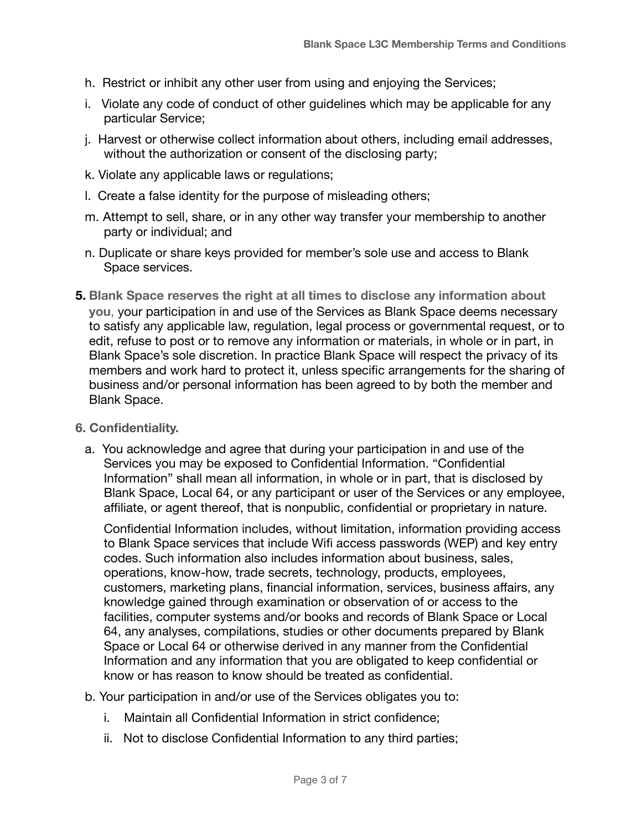- h. Restrict or inhibit any other user from using and enjoying the Services;
- i. Violate any code of conduct of other guidelines which may be applicable for any particular Service;
- j. Harvest or otherwise collect information about others, including email addresses, without the authorization or consent of the disclosing party;
- k. Violate any applicable laws or regulations;
- l. Create a false identity for the purpose of misleading others;
- m. Attempt to sell, share, or in any other way transfer your membership to another party or individual; and
- n. Duplicate or share keys provided for member's sole use and access to Blank Space services.
- **5. Blank Space reserves the right at all times to disclose any information about you**, your participation in and use of the Services as Blank Space deems necessary to satisfy any applicable law, regulation, legal process or governmental request, or to edit, refuse to post or to remove any information or materials, in whole or in part, in Blank Space's sole discretion. In practice Blank Space will respect the privacy of its members and work hard to protect it, unless specific arrangements for the sharing of business and/or personal information has been agreed to by both the member and Blank Space.
- **6. Confidentiality.** 
	- a. You acknowledge and agree that during your participation in and use of the Services you may be exposed to Confidential Information. "Confidential Information" shall mean all information, in whole or in part, that is disclosed by Blank Space, Local 64, or any participant or user of the Services or any employee, affiliate, or agent thereof, that is nonpublic, confidential or proprietary in nature.

Confidential Information includes, without limitation, information providing access to Blank Space services that include Wifi access passwords (WEP) and key entry codes. Such information also includes information about business, sales, operations, know-how, trade secrets, technology, products, employees, customers, marketing plans, financial information, services, business affairs, any knowledge gained through examination or observation of or access to the facilities, computer systems and/or books and records of Blank Space or Local 64, any analyses, compilations, studies or other documents prepared by Blank Space or Local 64 or otherwise derived in any manner from the Confidential Information and any information that you are obligated to keep confidential or know or has reason to know should be treated as confidential.

- b. Your participation in and/or use of the Services obligates you to:
	- i. Maintain all Confidential Information in strict confidence;
	- ii. Not to disclose Confidential Information to any third parties;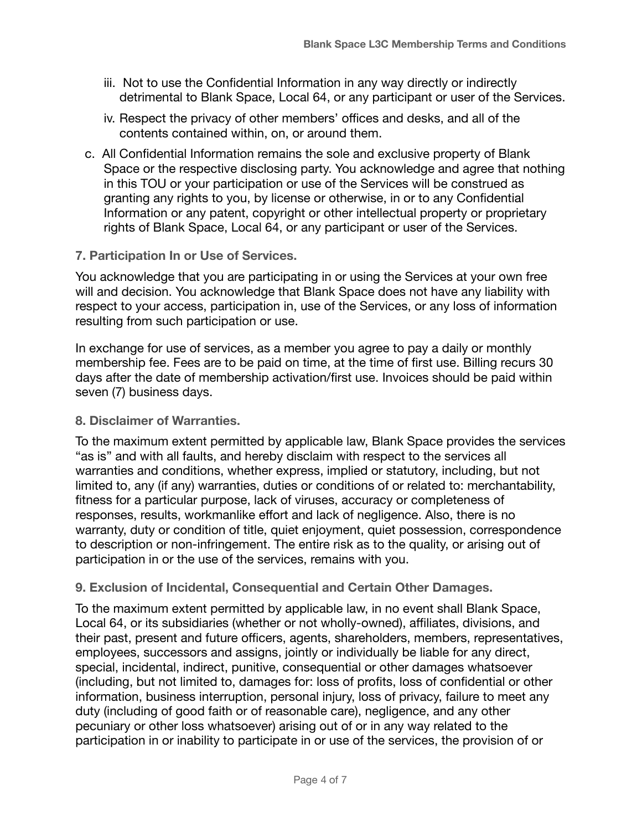- iii. Not to use the Confidential Information in any way directly or indirectly detrimental to Blank Space, Local 64, or any participant or user of the Services.
- iv. Respect the privacy of other members' offices and desks, and all of the contents contained within, on, or around them.
- c. All Confidential Information remains the sole and exclusive property of Blank Space or the respective disclosing party. You acknowledge and agree that nothing in this TOU or your participation or use of the Services will be construed as granting any rights to you, by license or otherwise, in or to any Confidential Information or any patent, copyright or other intellectual property or proprietary rights of Blank Space, Local 64, or any participant or user of the Services.

## **7. Participation In or Use of Services.**

You acknowledge that you are participating in or using the Services at your own free will and decision. You acknowledge that Blank Space does not have any liability with respect to your access, participation in, use of the Services, or any loss of information resulting from such participation or use.

In exchange for use of services, as a member you agree to pay a daily or monthly membership fee. Fees are to be paid on time, at the time of first use. Billing recurs 30 days after the date of membership activation/first use. Invoices should be paid within seven (7) business days.

## **8. Disclaimer of Warranties.**

To the maximum extent permitted by applicable law, Blank Space provides the services "as is" and with all faults, and hereby disclaim with respect to the services all warranties and conditions, whether express, implied or statutory, including, but not limited to, any (if any) warranties, duties or conditions of or related to: merchantability, fitness for a particular purpose, lack of viruses, accuracy or completeness of responses, results, workmanlike effort and lack of negligence. Also, there is no warranty, duty or condition of title, quiet enjoyment, quiet possession, correspondence to description or non-infringement. The entire risk as to the quality, or arising out of participation in or the use of the services, remains with you.

## **9. Exclusion of Incidental, Consequential and Certain Other Damages.**

To the maximum extent permitted by applicable law, in no event shall Blank Space, Local 64, or its subsidiaries (whether or not wholly-owned), affiliates, divisions, and their past, present and future officers, agents, shareholders, members, representatives, employees, successors and assigns, jointly or individually be liable for any direct, special, incidental, indirect, punitive, consequential or other damages whatsoever (including, but not limited to, damages for: loss of profits, loss of confidential or other information, business interruption, personal injury, loss of privacy, failure to meet any duty (including of good faith or of reasonable care), negligence, and any other pecuniary or other loss whatsoever) arising out of or in any way related to the participation in or inability to participate in or use of the services, the provision of or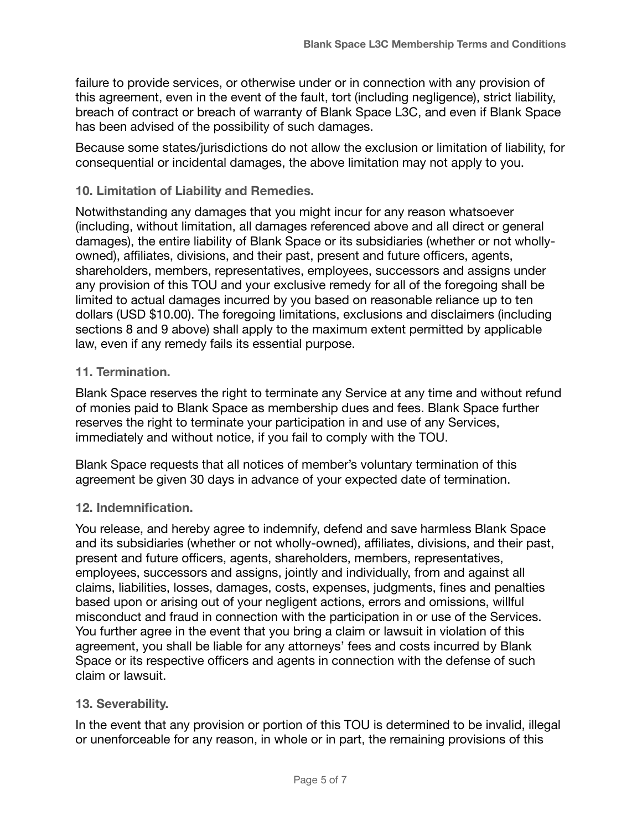failure to provide services, or otherwise under or in connection with any provision of this agreement, even in the event of the fault, tort (including negligence), strict liability, breach of contract or breach of warranty of Blank Space L3C, and even if Blank Space has been advised of the possibility of such damages.

Because some states/jurisdictions do not allow the exclusion or limitation of liability, for consequential or incidental damages, the above limitation may not apply to you.

## **10. Limitation of Liability and Remedies.**

Notwithstanding any damages that you might incur for any reason whatsoever (including, without limitation, all damages referenced above and all direct or general damages), the entire liability of Blank Space or its subsidiaries (whether or not whollyowned), affiliates, divisions, and their past, present and future officers, agents, shareholders, members, representatives, employees, successors and assigns under any provision of this TOU and your exclusive remedy for all of the foregoing shall be limited to actual damages incurred by you based on reasonable reliance up to ten dollars (USD \$10.00). The foregoing limitations, exclusions and disclaimers (including sections 8 and 9 above) shall apply to the maximum extent permitted by applicable law, even if any remedy fails its essential purpose.

# **11. Termination.**

Blank Space reserves the right to terminate any Service at any time and without refund of monies paid to Blank Space as membership dues and fees. Blank Space further reserves the right to terminate your participation in and use of any Services, immediately and without notice, if you fail to comply with the TOU.

Blank Space requests that all notices of member's voluntary termination of this agreement be given 30 days in advance of your expected date of termination.

## **12. Indemnification.**

You release, and hereby agree to indemnify, defend and save harmless Blank Space and its subsidiaries (whether or not wholly-owned), affiliates, divisions, and their past, present and future officers, agents, shareholders, members, representatives, employees, successors and assigns, jointly and individually, from and against all claims, liabilities, losses, damages, costs, expenses, judgments, fines and penalties based upon or arising out of your negligent actions, errors and omissions, willful misconduct and fraud in connection with the participation in or use of the Services. You further agree in the event that you bring a claim or lawsuit in violation of this agreement, you shall be liable for any attorneys' fees and costs incurred by Blank Space or its respective officers and agents in connection with the defense of such claim or lawsuit.

## **13. Severability.**

In the event that any provision or portion of this TOU is determined to be invalid, illegal or unenforceable for any reason, in whole or in part, the remaining provisions of this